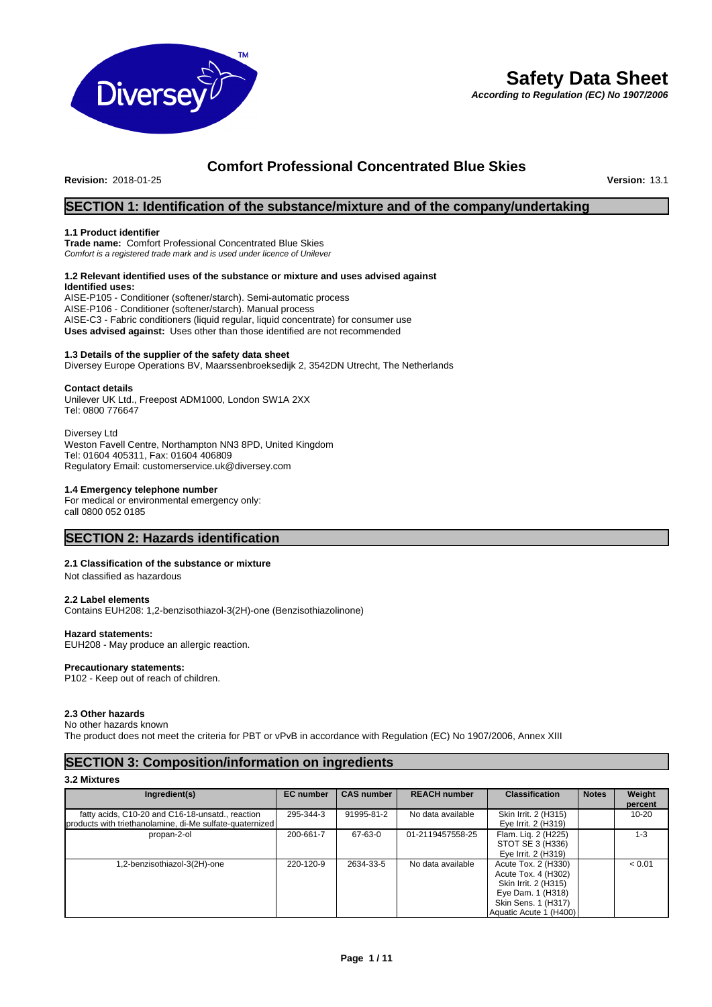

# **Safety Data Sheet**

*According to Regulation (EC) No 1907/2006*

# **Comfort Professional Concentrated Blue Skies**

**Revision: 2018-01-25** 

# **SECTION 1: Identification of the substance/mixture and of the company/undertaking**

# **1.1 Product identifier**

**Trade name:** Comfort Professional Concentrated Blue Skies *Comfort is a registered trade mark and is used under licence of Unilever*

#### **1.2 Relevant identified uses of the substance or mixture and uses advised against Identified uses:**

AISE-P105 - Conditioner (softener/starch). Semi-automatic process AISE-P106 - Conditioner (softener/starch). Manual process AISE-C3 - Fabric conditioners (liquid regular, liquid concentrate) for consumer use **Uses advised against:** Uses other than those identified are not recommended

# **1.3 Details of the supplier of the safety data sheet**

Diversey Europe Operations BV, Maarssenbroeksedijk 2, 3542DN Utrecht, The Netherlands

# **Contact details**

Unilever UK Ltd., Freepost ADM1000, London SW1A 2XX Tel: 0800 776647

Diversey Ltd Weston Favell Centre, Northampton NN3 8PD, United Kingdom Tel: 01604 405311, Fax: 01604 406809

Regulatory Email: customerservice.uk@diversey.com

# **1.4 Emergency telephone number**

For medical or environmental emergency only: call 0800 052 0185

# **SECTION 2: Hazards identification**

# **2.1 Classification of the substance or mixture**

Not classified as hazardous

# **2.2 Label elements**

Contains EUH208: 1,2-benzisothiazol-3(2H)-one (Benzisothiazolinone)

# **Hazard statements:**

EUH208 - May produce an allergic reaction.

**Precautionary statements:**  P102 - Keep out of reach of children.

# **2.3 Other hazards**

No other hazards known The product does not meet the criteria for PBT or vPvB in accordance with Regulation (EC) No 1907/2006, Annex XIII

# **SECTION 3: Composition/information on ingredients**

**3.2 Mixtures**

| Ingredient(s)                                            | <b>EC</b> number | <b>CAS number</b> | <b>REACH number</b> | <b>Classification</b>  | <b>Notes</b> | Weight    |
|----------------------------------------------------------|------------------|-------------------|---------------------|------------------------|--------------|-----------|
|                                                          |                  |                   |                     |                        |              | percent   |
| fatty acids, C10-20 and C16-18-unsatd., reaction         | 295-344-3        | 91995-81-2        | No data available   | Skin Irrit. 2 (H315)   |              | $10 - 20$ |
| products with triethanolamine, di-Me sulfate-quaternized |                  |                   |                     | Eye Irrit. 2 (H319)    |              |           |
| propan-2-ol                                              | 200-661-7        | 67-63-0           | 01-2119457558-25    | Flam. Lig. 2 (H225)    |              | $1 - 3$   |
|                                                          |                  |                   |                     | STOT SE 3 (H336)       |              |           |
|                                                          |                  |                   |                     | Eye Irrit. 2 (H319)    |              |           |
| 1,2-benzisothiazol-3(2H)-one                             | 220-120-9        | 2634-33-5         | No data available   | Acute Tox. 2 (H330)    |              | < 0.01    |
|                                                          |                  |                   |                     | Acute Tox. 4 (H302)    |              |           |
|                                                          |                  |                   |                     | Skin Irrit. 2 (H315)   |              |           |
|                                                          |                  |                   |                     | Eye Dam. 1 (H318)      |              |           |
|                                                          |                  |                   |                     | Skin Sens. 1 (H317)    |              |           |
|                                                          |                  |                   |                     | Aquatic Acute 1 (H400) |              |           |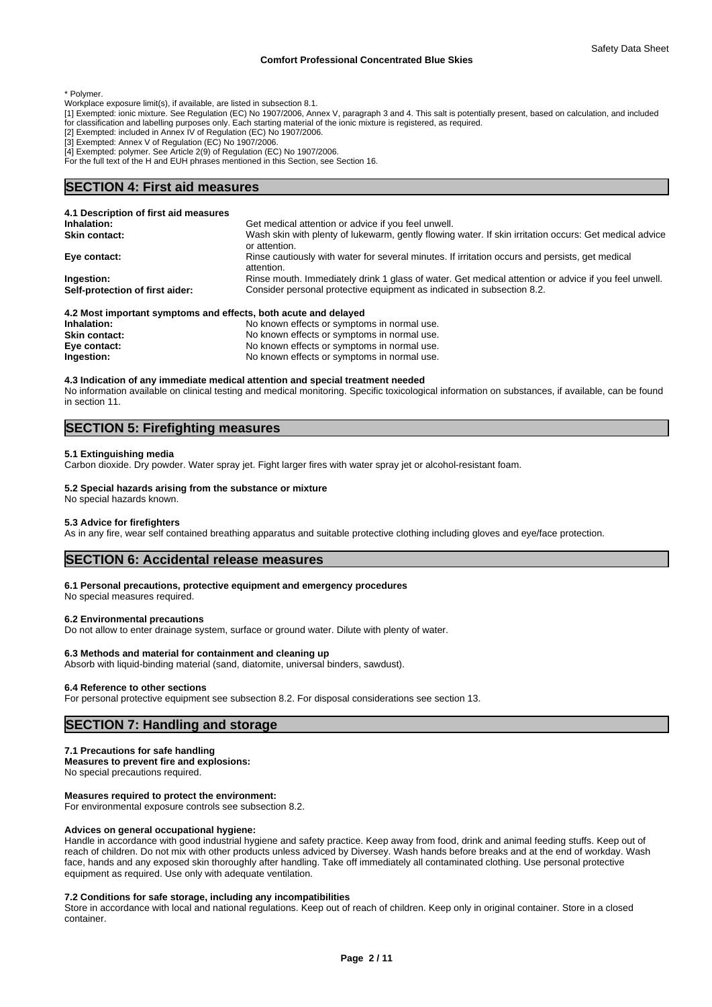\* Polymer.

- Workplace exposure limit(s), if available, are listed in subsection 8.1.
- [1] Exempted: ionic mixture. See Regulation (EC) No 1907/2006, Annex V, paragraph 3 and 4. This salt is potentially present, based on calculation, and included for classification and labelling purposes only. Each starting material of the ionic mixture is registered, as required.
- 
- [2] Exempted: included in Annex IV of Regulation (EC) No 1907/2006. [3] Exempted: Annex V of Regulation (EC) No 1907/2006.
- [4] Exempted: polymer. See Article 2(9) of Regulation (EC) No 1907/2006.
- For the full text of the H and EUH phrases mentioned in this Section, see Section 16.

# **SECTION 4: First aid measures**

| 4.1 Description of first aid measures                                      |                                                                                                                         |
|----------------------------------------------------------------------------|-------------------------------------------------------------------------------------------------------------------------|
| Inhalation:                                                                | Get medical attention or advice if you feel unwell.                                                                     |
| <b>Skin contact:</b>                                                       | Wash skin with plenty of lukewarm, gently flowing water. If skin irritation occurs: Get medical advice<br>or attention. |
| Eye contact:                                                               | Rinse cautiously with water for several minutes. If irritation occurs and persists, get medical<br>attention.           |
| Ingestion:                                                                 | Rinse mouth. Immediately drink 1 glass of water. Get medical attention or advice if you feel unwell.                    |
| Self-protection of first aider:                                            | Consider personal protective equipment as indicated in subsection 8.2.                                                  |
| A.O. Massimis and an interest and allocate. In the second second delivered |                                                                                                                         |

#### **4.2 Most important symptoms and effects, both acute and delayed**

| Inhalation:          | No known effects or symptoms in normal use. |
|----------------------|---------------------------------------------|
| <b>Skin contact:</b> | No known effects or symptoms in normal use. |
| Eye contact:         | No known effects or symptoms in normal use. |
| Ingestion:           | No known effects or symptoms in normal use. |

### **4.3 Indication of any immediate medical attention and special treatment needed**

No information available on clinical testing and medical monitoring. Specific toxicological information on substances, if available, can be found in section 11.

# **SECTION 5: Firefighting measures**

### **5.1 Extinguishing media**

Carbon dioxide. Dry powder. Water spray jet. Fight larger fires with water spray jet or alcohol-resistant foam.

# **5.2 Special hazards arising from the substance or mixture**

No special hazards known.

#### **5.3 Advice for firefighters**

As in any fire, wear self contained breathing apparatus and suitable protective clothing including gloves and eye/face protection.

# **SECTION 6: Accidental release measures**

#### **6.1 Personal precautions, protective equipment and emergency procedures**

No special measures required.

#### **6.2 Environmental precautions**

Do not allow to enter drainage system, surface or ground water. Dilute with plenty of water.

## **6.3 Methods and material for containment and cleaning up**

Absorb with liquid-binding material (sand, diatomite, universal binders, sawdust).

#### **6.4 Reference to other sections**

For personal protective equipment see subsection 8.2. For disposal considerations see section 13.

# **SECTION 7: Handling and storage**

# **7.1 Precautions for safe handling**

**Measures to prevent fire and explosions:**

No special precautions required.

# **Measures required to protect the environment:**

For environmental exposure controls see subsection 8.2.

# **Advices on general occupational hygiene:**

Handle in accordance with good industrial hygiene and safety practice. Keep away from food, drink and animal feeding stuffs. Keep out of reach of children. Do not mix with other products unless adviced by Diversey. Wash hands before breaks and at the end of workday. Wash face, hands and any exposed skin thoroughly after handling. Take off immediately all contaminated clothing. Use personal protective equipment as required. Use only with adequate ventilation.

## **7.2 Conditions for safe storage, including any incompatibilities**

Store in accordance with local and national regulations. Keep out of reach of children. Keep only in original container. Store in a closed container.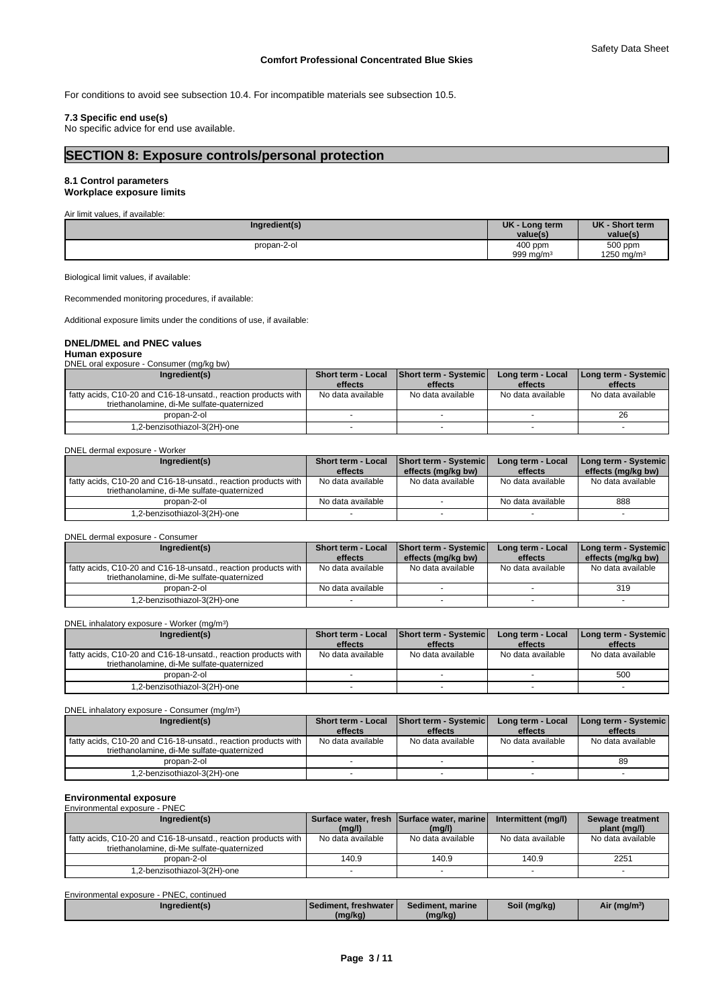For conditions to avoid see subsection 10.4. For incompatible materials see subsection 10.5.

# **7.3 Specific end use(s)**

No specific advice for end use available.

# **SECTION 8: Exposure controls/personal protection**

#### **8.1 Control parameters Workplace exposure limits**

Air limit values, if available:

| Ingredient(s) | <b>UK</b><br>Long term | <b>UK</b><br>- Short term |
|---------------|------------------------|---------------------------|
|               | value(s                | value(s)                  |
| propan-2-ol   | 400 ppm                | 500 ppm                   |
|               | 999 mg/m <sup>3</sup>  | 1250 mg/m $3$             |

Biological limit values, if available:

Recommended monitoring procedures, if available:

Additional exposure limits under the conditions of use, if available:

# **DNEL/DMEL and PNEC values**

**Human exposure** DNEL oral exposure - Consumer (mg/kg bw)

| Ingredient(s)                                                                                                | Short term - Local Short term - Systemicl |                   | Long term - Local | Long term - Systemic |
|--------------------------------------------------------------------------------------------------------------|-------------------------------------------|-------------------|-------------------|----------------------|
|                                                                                                              | effects                                   | effects           | effects           | effects              |
| fatty acids, C10-20 and C16-18-unsatd., reaction products with<br>triethanolamine, di-Me sulfate-quaternized | No data available                         | No data available | No data available | No data available    |
| propan-2-ol                                                                                                  |                                           |                   |                   | 26                   |
| 1,2-benzisothiazol-3(2H)-one                                                                                 |                                           |                   |                   |                      |

DNEL dermal exposure - Worker

| Ingredient(s)                                                  | <b>Short term - Local</b><br>effects | <b>Short term - Systemic</b><br>effects (mg/kg bw) | Long term - Local<br>effects | Long term - Systemic  <br>effects (mg/kg bw) |
|----------------------------------------------------------------|--------------------------------------|----------------------------------------------------|------------------------------|----------------------------------------------|
| fatty acids, C10-20 and C16-18-unsatd., reaction products with | No data available                    | No data available                                  | No data available            | No data available                            |
| triethanolamine, di-Me sulfate-quaternized                     |                                      |                                                    |                              |                                              |
| propan-2-ol                                                    | No data available                    |                                                    | No data available            | 888                                          |
| 1,2-benzisothiazol-3(2H)-one                                   |                                      |                                                    |                              |                                              |

DNEL dermal exposure - Consumer

| Ingredient(s)                                                  | <b>Short term - Local</b><br>Short term - Systemic |                    | Long term - Local | Long term - Systemic |
|----------------------------------------------------------------|----------------------------------------------------|--------------------|-------------------|----------------------|
|                                                                | effects                                            | effects (mg/kg bw) | effects           | effects (mg/kg bw)   |
| fatty acids, C10-20 and C16-18-unsatd., reaction products with | No data available                                  | No data available  | No data available | No data available    |
| triethanolamine, di-Me sulfate-quaternized                     |                                                    |                    |                   |                      |
| propan-2-ol                                                    | No data available                                  |                    |                   | 319                  |
| -2-benzisothiazol-3(2H)-one.                                   |                                                    |                    |                   |                      |

DNEL inhalatory exposure - Worker (mg/m<sup>3</sup>  $)$ 

| Ingredient(s)                                                                                                |                   | Short term - Local   Short term - Systemic<br>Long term - Local |                   | Long term - Systemic |
|--------------------------------------------------------------------------------------------------------------|-------------------|-----------------------------------------------------------------|-------------------|----------------------|
|                                                                                                              | effects           | effects                                                         | effects           | effects              |
| fatty acids, C10-20 and C16-18-unsatd., reaction products with<br>triethanolamine, di-Me sulfate-quaternized | No data available | No data available                                               | No data available | No data available    |
| propan-2-ol                                                                                                  |                   |                                                                 |                   | 500                  |
| -2-benzisothiazol-3(2H)-one.                                                                                 |                   |                                                                 |                   |                      |

DNEL inhalatory exposure - Consumer (mg/m<sup>3</sup>)  $)$ 

| Ingredient(s)                                                                                                |                   | Short term - Local Short term - Systemic | Long term - Local | Long term - Systemic |
|--------------------------------------------------------------------------------------------------------------|-------------------|------------------------------------------|-------------------|----------------------|
|                                                                                                              | effects           | effects                                  | effects           | effects              |
| fatty acids, C10-20 and C16-18-unsatd., reaction products with<br>triethanolamine, di-Me sulfate-quaternized | No data available | No data available                        | No data available | No data available    |
| propan-2-ol                                                                                                  |                   |                                          |                   | 89                   |
| 1,2-benzisothiazol-3(2H)-one                                                                                 |                   |                                          |                   |                      |

# **Environmental exposure** Environmental exposure - PNEC

| Ingredient(s)                                                                                                | (mg/l)            | Surface water, fresh Surface water, marine<br>(mg/l) | Intermittent (mg/l) | Sewage treatment<br>plant (mg/l) |
|--------------------------------------------------------------------------------------------------------------|-------------------|------------------------------------------------------|---------------------|----------------------------------|
| fatty acids, C10-20 and C16-18-unsatd., reaction products with<br>triethanolamine, di-Me sulfate-quaternized | No data available | No data available                                    | No data available   | No data available                |
| propan-2-ol                                                                                                  | 140.9             | 140.9                                                | 140.9               | 2251                             |
| 1,2-benzisothiazol-3(2H)-one                                                                                 |                   |                                                      |                     |                                  |

| Environmental exposure - PNEC, continued |                          |                  |              |                          |
|------------------------------------------|--------------------------|------------------|--------------|--------------------------|
| ingredient(s)                            | l Sediment. freshwater l | Sediment, marine | Soil (mg/kg) | Air (mg/m <sup>3</sup> ) |
|                                          | (mg/kg)                  | (mg/kg)          |              |                          |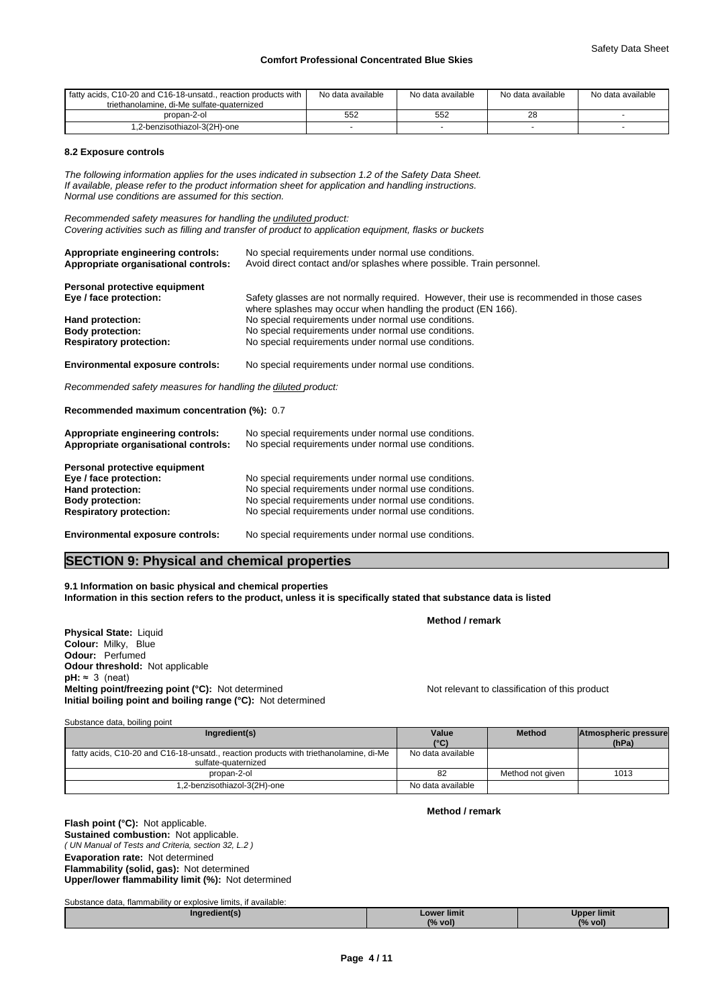| I fatty acids. C10-20 and C16-18-unsatd reaction products with<br>triethanolamine, di-Me sulfate-quaternized | No data available | No data available | No data available | No data available |
|--------------------------------------------------------------------------------------------------------------|-------------------|-------------------|-------------------|-------------------|
| propan-2-ol                                                                                                  | 552               | 552               | ∠⊂                |                   |
| .2-benzisothiazol-3(2H)-one                                                                                  |                   |                   |                   |                   |

# **8.2 Exposure controls**

*The following information applies for the uses indicated in subsection 1.2 of the Safety Data Sheet. If available, please refer to the product information sheet for application and handling instructions. Normal use conditions are assumed for this section.*

*Recommended safety measures for handling the undiluted product: Covering activities such as filling and transfer of product to application equipment, flasks or buckets*

| Appropriate engineering controls:<br>Appropriate organisational controls: | No special requirements under normal use conditions.<br>Avoid direct contact and/or splashes where possible. Train personnel.                              |
|---------------------------------------------------------------------------|------------------------------------------------------------------------------------------------------------------------------------------------------------|
| Personal protective equipment<br>Eye / face protection:                   | Safety glasses are not normally required. However, their use is recommended in those cases<br>where splashes may occur when handling the product (EN 166). |
| Hand protection:                                                          | No special requirements under normal use conditions.                                                                                                       |
| <b>Body protection:</b>                                                   | No special requirements under normal use conditions.                                                                                                       |
| <b>Respiratory protection:</b>                                            | No special requirements under normal use conditions.                                                                                                       |

**Environmental exposure controls:** No special requirements under normal use conditions.

*Recommended safety measures for handling the diluted product:*

**Recommended maximum concentration (%):** 0.7

| Appropriate engineering controls:<br>Appropriate organisational controls: | No special requirements under normal use conditions.<br>No special requirements under normal use conditions. |
|---------------------------------------------------------------------------|--------------------------------------------------------------------------------------------------------------|
| Personal protective equipment                                             |                                                                                                              |
| Eye / face protection:                                                    | No special requirements under normal use conditions.                                                         |
| Hand protection:                                                          | No special requirements under normal use conditions.                                                         |
| <b>Body protection:</b>                                                   | No special requirements under normal use conditions.                                                         |
| <b>Respiratory protection:</b>                                            | No special requirements under normal use conditions.                                                         |
| <b>Environmental exposure controls:</b>                                   | No special requirements under normal use conditions.                                                         |

# **SECTION 9: Physical and chemical properties**

**9.1 Information on basic physical and chemical properties Information in this section refers to the product, unless it is specifically stated that substance data is listed**

**Physical State:** Liquid **Colour:** Milky, Blue **Odour:** Perfumed

**Odour threshold:** Not applicable  $pH: \approx 3$  (neat) **Melting point/freezing point (°C):** Not determined Not relevant to classification of this product **Initial boiling point and boiling range (°C):** Not determined

| Substance data, boiling point |  |  |
|-------------------------------|--|--|
|-------------------------------|--|--|

**Flash point (°C):** Not applicable. **Sustained combustion:** Not applicable.

| Ingredient(s)                                                                                                | Value             | <b>Method</b>    | Atmospheric pressure |  |
|--------------------------------------------------------------------------------------------------------------|-------------------|------------------|----------------------|--|
|                                                                                                              | $(^{\circ}C)$     |                  | (hPa)                |  |
| fatty acids, C10-20 and C16-18-unsatd., reaction products with triethanolamine, di-Me<br>sulfate-quaternized | No data available |                  |                      |  |
| propan-2-ol                                                                                                  | 82                | Method not given | 1013                 |  |
| .2-benzisothiazol-3(2H)-one                                                                                  | No data available |                  |                      |  |

**Method / remark**

**Method / remark**

| ( UN Manual of Tests and Criteria, section 32, L.2 )      |
|-----------------------------------------------------------|
| <b>Evaporation rate: Not determined</b>                   |
| <b>Flammability (solid, gas): Not determined</b>          |
| <b>Upper/lower flammability limit (%):</b> Not determined |

Substance data, flammability or explosive limits, if available:

**Ingredient(s) Lower limit (% vol) Upper limit (% vol)**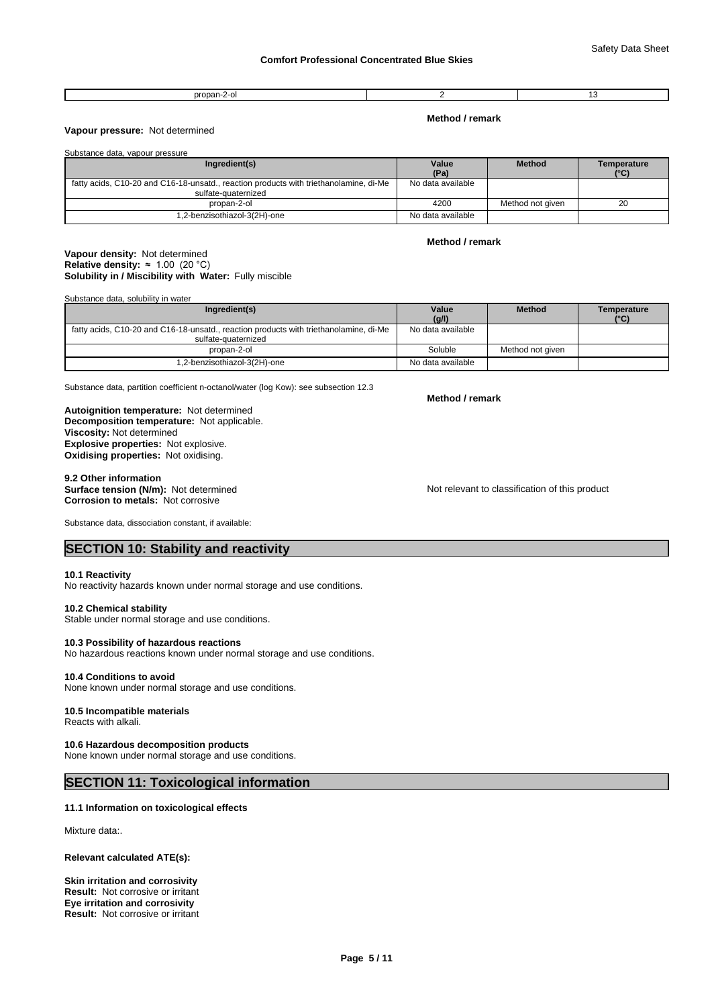#### propan-2-ol 2 13

**Method / remark**

# **Vapour pressure:** Not determined

| Substance data, vapour pressure                                                                              |                   |                  |                     |
|--------------------------------------------------------------------------------------------------------------|-------------------|------------------|---------------------|
| Ingredient(s)                                                                                                | Value<br>(Pa)     | <b>Method</b>    | Temperature<br>(°C) |
| fatty acids, C10-20 and C16-18-unsatd., reaction products with triethanolamine, di-Me<br>sulfate-quaternized | No data available |                  |                     |
| propan-2-ol                                                                                                  | 4200              | Method not given | 20                  |
| 1,2-benzisothiazol-3(2H)-one                                                                                 | No data available |                  |                     |

# **Solubility in / Miscibility with Water:** Fully miscible **Vapour density:** Not determined **Relative density:**  $\approx 1.00$  (20 °C)

Substance data, solubility in water

| Ingredient(s)                                                                                                | Value<br>(g/l)    | <b>Method</b>    | Temperature<br>(°C) |
|--------------------------------------------------------------------------------------------------------------|-------------------|------------------|---------------------|
| fatty acids, C10-20 and C16-18-unsatd., reaction products with triethanolamine, di-Me<br>sulfate-quaternized | No data available |                  |                     |
| propan-2-ol                                                                                                  | Soluble           | Method not aiven |                     |
| 1,2-benzisothiazol-3(2H)-one                                                                                 | No data available |                  |                     |

Substance data, partition coefficient n-octanol/water (log Kow): see subsection 12.3

**Decomposition temperature:** Not applicable. **Autoignition temperature:** Not determined **Viscosity:** Not determined **Explosive properties:** Not explosive. **Oxidising properties:** Not oxidising.

9.2 Other information<br>Surface tension (N/m): Not determined **Corrosion to metals:** Not corrosive

Substance data, dissociation constant, if available:

Not relevant to classification of this product

**SECTION 10: Stability and reactivity** 

### **10.1 Reactivity**

No reactivity hazards known under normal storage and use conditions.

# **10.2 Chemical stability**

Stable under normal storage and use conditions.

# **10.3 Possibility of hazardous reactions**

No hazardous reactions known under normal storage and use conditions.

# **10.4 Conditions to avoid**

None known under normal storage and use conditions.

#### **10.5 Incompatible materials** Reacts with alkali.

# **10.6 Hazardous decomposition products**

None known under normal storage and use conditions.

# **SECTION 11: Toxicological information**

# **11.1 Information on toxicological effects**

Mixture data:.

## **Relevant calculated ATE(s):**

**Skin irritation and corrosivity Eye irritation and corrosivity Result:** Not corrosive or irritant **Result:** Not corrosive or irritant

# **Method / remark**

**Method / remark**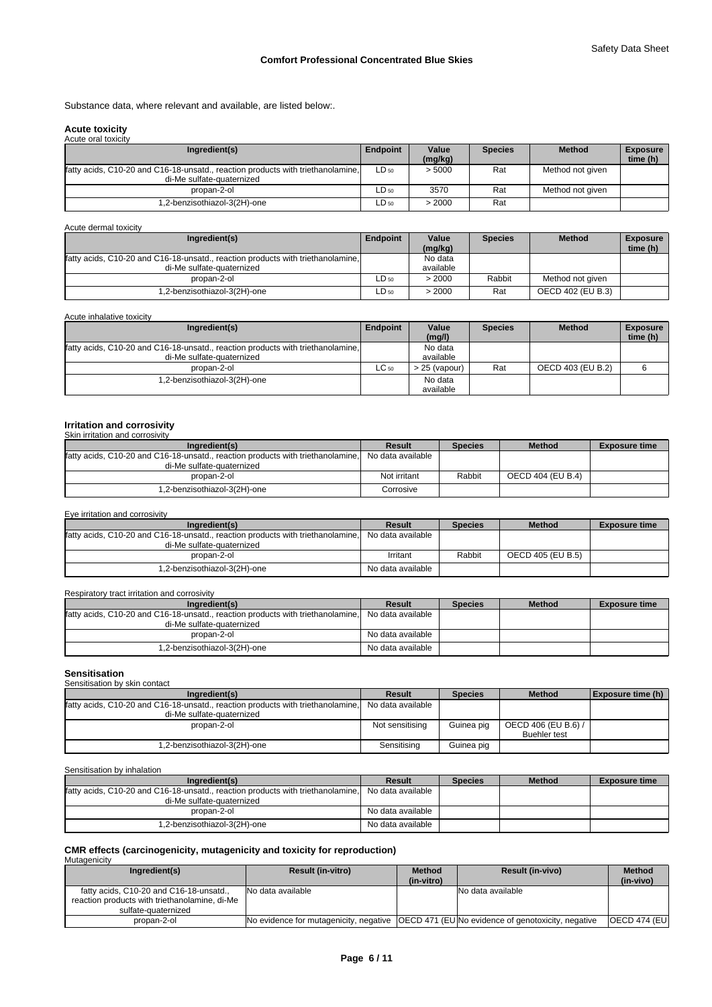Substance data, where relevant and available, are listed below:.

# **Acute toxicity**

| Acute oral toxicity                                                                                          |           |                  |                |                  |                             |
|--------------------------------------------------------------------------------------------------------------|-----------|------------------|----------------|------------------|-----------------------------|
| Ingredient(s)                                                                                                | Endpoint  | Value<br>(mg/kg) | <b>Species</b> | <b>Method</b>    | <b>Exposure</b><br>time (h) |
| fatty acids, C10-20 and C16-18-unsatd., reaction products with triethanolamine.<br>di-Me sulfate-quaternized | $LD_{50}$ | > 5000           | Rat            | Method not given |                             |
| propan-2-ol                                                                                                  | $LD_{50}$ | 3570             | Rat            | Method not given |                             |
| .2-benzisothiazol-3(2H)-one                                                                                  | $LD_{50}$ | > 2000           | Rat            |                  |                             |

Acute dermal toxicity

| Ingredient(s)                                                                   | Endpoint  | Value     | <b>Species</b> | <b>Method</b>     | <b>Exposure</b> |
|---------------------------------------------------------------------------------|-----------|-----------|----------------|-------------------|-----------------|
|                                                                                 |           | (mq/kg)   |                |                   | time (h)        |
| fatty acids, C10-20 and C16-18-unsatd., reaction products with triethanolamine, |           | No data   |                |                   |                 |
| di-Me sulfate-quaternized                                                       |           | available |                |                   |                 |
| propan-2-ol                                                                     | $LD_{50}$ | > 2000    | Rabbit         | Method not given  |                 |
| 1,2-benzisothiazol-3(2H)-one                                                    | ∟D 50     | >2000     | Rat            | OECD 402 (EU B.3) |                 |

| Acute inhalative toxicity                                                       |           |                 |                |                   |                             |
|---------------------------------------------------------------------------------|-----------|-----------------|----------------|-------------------|-----------------------------|
| Ingredient(s)                                                                   | Endpoint  | Value<br>(mg/l) | <b>Species</b> | <b>Method</b>     | <b>Exposure</b><br>time (h) |
|                                                                                 |           |                 |                |                   |                             |
| fatty acids, C10-20 and C16-18-unsatd., reaction products with triethanolamine, |           | No data         |                |                   |                             |
| di-Me sulfate-quaternized                                                       |           | available       |                |                   |                             |
| propan-2-ol                                                                     | $LC_{50}$ | 25 (vapour)     | Rat            | OECD 403 (EU B.2) |                             |
| .2-benzisothiazol-3(2H)-one                                                     |           | No data         |                |                   |                             |
|                                                                                 |           | available       |                |                   |                             |

#### **Irritation and corrosivity** Skin irritation and corrosivity

| <u> UNITED MANUTE CHIU UUTTUURIN</u>                                                              |              |                |                   |                      |
|---------------------------------------------------------------------------------------------------|--------------|----------------|-------------------|----------------------|
| Ingredient(s)                                                                                     | Result       | <b>Species</b> | <b>Method</b>     | <b>Exposure time</b> |
| fatty acids, C10-20 and C16-18-unsatd., reaction products with triethanolamine. No data available |              |                |                   |                      |
| di-Me sulfate-quaternized                                                                         |              |                |                   |                      |
| propan-2-ol                                                                                       | Not irritant | Rabbit         | OECD 404 (EU B.4) |                      |
| 1,2-benzisothiazol-3(2H)-one                                                                      | Corrosive    |                |                   |                      |

Eye irritation and corrosivity

| Ingredient(s)                                                                                     | Result            | <b>Species</b> | <b>Method</b>     | <b>Exposure time</b> |
|---------------------------------------------------------------------------------------------------|-------------------|----------------|-------------------|----------------------|
| fatty acids, C10-20 and C16-18-unsatd., reaction products with triethanolamine. No data available |                   |                |                   |                      |
| di-Me sulfate-quaternized                                                                         |                   |                |                   |                      |
| propan-2-ol                                                                                       | Irritant          | Rabbit         | OECD 405 (EU B.5) |                      |
| 1,2-benzisothiazol-3(2H)-one                                                                      | No data available |                |                   |                      |

# Respiratory tract irritation and corrosivity

| Ingredient(s)                                                                                     | Result            | <b>Species</b> | <b>Method</b> | <b>Exposure time</b> |
|---------------------------------------------------------------------------------------------------|-------------------|----------------|---------------|----------------------|
| fatty acids, C10-20 and C16-18-unsatd., reaction products with triethanolamine. No data available |                   |                |               |                      |
| di-Me sulfate-quaternized                                                                         |                   |                |               |                      |
| propan-2-ol                                                                                       | No data available |                |               |                      |
| 1,2-benzisothiazol-3(2H)-one                                                                      | No data available |                |               |                      |

#### **Sensitisation** .<br>hv skin contact

| <u>oonomodii of omn oondol</u>                                                  |                   |                |                     |                          |  |  |  |  |  |  |
|---------------------------------------------------------------------------------|-------------------|----------------|---------------------|--------------------------|--|--|--|--|--|--|
| Ingredient(s)                                                                   | <b>Result</b>     | <b>Species</b> | <b>Method</b>       | <b>Exposure time (h)</b> |  |  |  |  |  |  |
| fatty acids, C10-20 and C16-18-unsatd., reaction products with triethanolamine, | No data available |                |                     |                          |  |  |  |  |  |  |
| di-Me sulfate-quaternized                                                       |                   |                |                     |                          |  |  |  |  |  |  |
| propan-2-ol                                                                     | Not sensitising   | Guinea pig     | OECD 406 (EU B.6) / |                          |  |  |  |  |  |  |
|                                                                                 |                   |                | <b>Buehler test</b> |                          |  |  |  |  |  |  |
| 1,2-benzisothiazol-3(2H)-one                                                    | Sensitising       | Guinea pig     |                     |                          |  |  |  |  |  |  |
|                                                                                 |                   |                |                     |                          |  |  |  |  |  |  |

Sensitisation by inhalation

| Ingredient(s)                                                                   | Result            | <b>Species</b> | <b>Method</b> | <b>Exposure time</b> |
|---------------------------------------------------------------------------------|-------------------|----------------|---------------|----------------------|
| fatty acids, C10-20 and C16-18-unsatd., reaction products with triethanolamine, | No data available |                |               |                      |
| di-Me sulfate-quaternized                                                       |                   |                |               |                      |
| propan-2-ol                                                                     | No data available |                |               |                      |
| 1,2-benzisothiazol-3(2H)-one                                                    | No data available |                |               |                      |

# **CMR effects (carcinogenicity, mutagenicity and toxicity for reproduction)** Mutagenicity

| Ingredient(s)                                                                                                   | <b>Result (in-vitro)</b>                                                                    | <b>Method</b><br>(in-vitro) | <b>Result (in-vivo)</b> | <b>Method</b><br>(in-vivo) |
|-----------------------------------------------------------------------------------------------------------------|---------------------------------------------------------------------------------------------|-----------------------------|-------------------------|----------------------------|
| fatty acids, C10-20 and C16-18-unsatd.,<br>reaction products with triethanolamine, di-Me<br>sulfate-quaternized | No data available                                                                           |                             | No data available       |                            |
| propan-2-ol                                                                                                     | No evidence for mutagenicity, negative   OECD 471 (EU No evidence of genotoxicity, negative |                             |                         | <b>OECD 474 (EUI</b>       |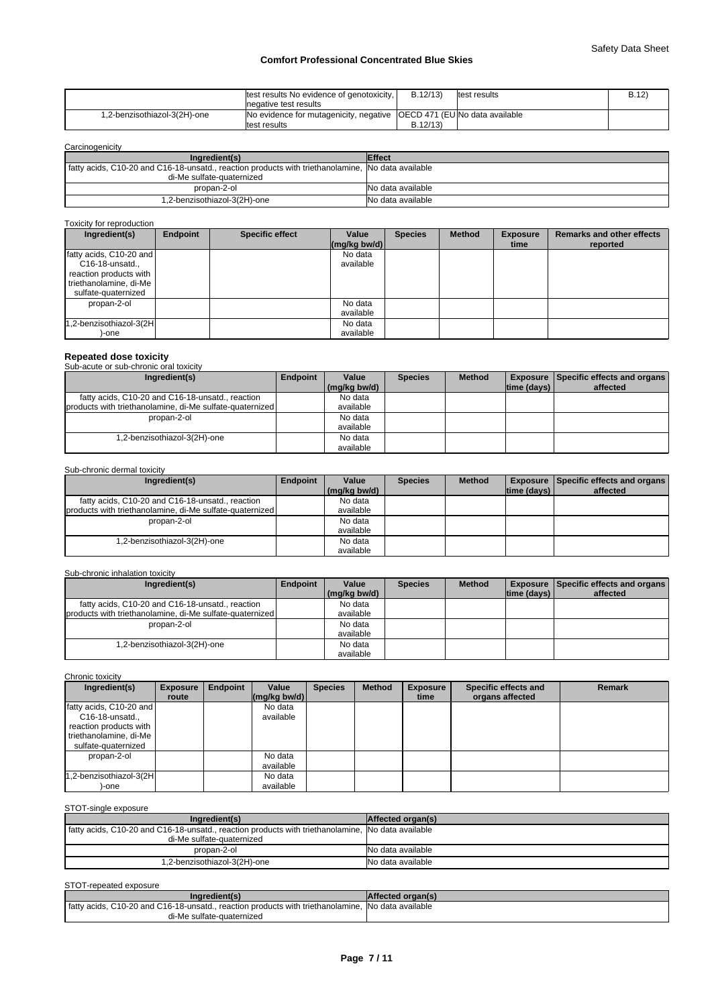|                              | Itest results No evidence of genotoxicity,                               | B.12/13  | ltest results | B.12 |
|------------------------------|--------------------------------------------------------------------------|----------|---------------|------|
|                              | Inegative test results                                                   |          |               |      |
| 1,2-benzisothiazol-3(2H)-one | INo evidence for mutagenicity, negative   OECD 471 (EU No data available |          |               |      |
|                              | ltest results                                                            | B.12/13) |               |      |

| Carcinogenicity                                                                                                                |                   |
|--------------------------------------------------------------------------------------------------------------------------------|-------------------|
| Ingredient(s)                                                                                                                  | <b>Effect</b>     |
| fatty acids, C10-20 and C16-18-unsatd., reaction products with triethanolamine, No data available<br>di-Me sulfate-quaternized |                   |
| propan-2-ol                                                                                                                    | No data available |
| 1,2-benzisothiazol-3(2H)-one                                                                                                   | No data available |

# Toxicity for reproduction

| Ingredient(s)           | Endpoint | <b>Specific effect</b> | Value<br>$\left \frac{\text{mg}}{\text{kg}}\right $ bw/d) | <b>Species</b> | <b>Method</b> | <b>Exposure</b><br>time | <b>Remarks and other effects</b><br>reported |
|-------------------------|----------|------------------------|-----------------------------------------------------------|----------------|---------------|-------------------------|----------------------------------------------|
| fatty acids, C10-20 and |          |                        | No data                                                   |                |               |                         |                                              |
| C16-18-unsatd.,         |          |                        | available                                                 |                |               |                         |                                              |
| reaction products with  |          |                        |                                                           |                |               |                         |                                              |
| triethanolamine, di-Me  |          |                        |                                                           |                |               |                         |                                              |
| sulfate-quaternized     |          |                        |                                                           |                |               |                         |                                              |
| propan-2-ol             |          |                        | No data                                                   |                |               |                         |                                              |
|                         |          |                        | available                                                 |                |               |                         |                                              |
| 1,2-benzisothiazol-3(2H |          |                        | No data                                                   |                |               |                         |                                              |
| -one                    |          |                        | available                                                 |                |               |                         |                                              |

**Repeated dose toxicity** Sub-acute or sub-chronic oral toxicity

| Ingredient(s)                                            | <b>Endpoint</b> | Value        | <b>Species</b> | <b>Method</b> |                    | <b>Exposure   Specific effects and organs  </b> |
|----------------------------------------------------------|-----------------|--------------|----------------|---------------|--------------------|-------------------------------------------------|
|                                                          |                 | (mg/kg bw/d) |                |               | $ time$ (days) $ $ | affected                                        |
| fatty acids, C10-20 and C16-18-unsatd., reaction         |                 | No data      |                |               |                    |                                                 |
| products with triethanolamine, di-Me sulfate-quaternized |                 | available    |                |               |                    |                                                 |
| propan-2-ol                                              |                 | No data      |                |               |                    |                                                 |
|                                                          |                 | available    |                |               |                    |                                                 |
| 1,2-benzisothiazol-3(2H)-one                             |                 | No data      |                |               |                    |                                                 |
|                                                          |                 | available    |                |               |                    |                                                 |

# Sub-chronic dermal toxicity

| Ingredient(s)                                            | Endpoint | Value        | <b>Species</b> | <b>Method</b> |                    | <b>Exposure   Specific effects and organs  </b> |
|----------------------------------------------------------|----------|--------------|----------------|---------------|--------------------|-------------------------------------------------|
|                                                          |          | (mg/kg bw/d) |                |               | $ time$ (days) $ $ | affected                                        |
| fatty acids, C10-20 and C16-18-unsatd., reaction         |          | No data      |                |               |                    |                                                 |
| products with triethanolamine, di-Me sulfate-quaternized |          | available    |                |               |                    |                                                 |
| propan-2-ol                                              |          | No data      |                |               |                    |                                                 |
|                                                          |          | available    |                |               |                    |                                                 |
| 1,2-benzisothiazol-3(2H)-one                             |          | No data      |                |               |                    |                                                 |
|                                                          |          | available    |                |               |                    |                                                 |

# Sub-chronic inhalation toxicity

| Ingredient(s)                                            | <b>Endpoint</b> | Value        | <b>Species</b> | <b>Method</b> |                    | <b>Exposure   Specific effects and organs  </b> |
|----------------------------------------------------------|-----------------|--------------|----------------|---------------|--------------------|-------------------------------------------------|
|                                                          |                 | (mg/kg bw/d) |                |               | $ time$ (days) $ $ | affected                                        |
| fatty acids, C10-20 and C16-18-unsatd., reaction         |                 | No data      |                |               |                    |                                                 |
| products with triethanolamine, di-Me sulfate-quaternized |                 | available    |                |               |                    |                                                 |
| propan-2-ol                                              |                 | No data      |                |               |                    |                                                 |
|                                                          |                 | available    |                |               |                    |                                                 |
| 1,2-benzisothiazol-3(2H)-one                             |                 | No data      |                |               |                    |                                                 |
|                                                          |                 | available    |                |               |                    |                                                 |

# Chronic toxicity

| Ingredient(s)                                                                                                         | <b>Exposure</b> | Endpoint | Value                                      | <b>Species</b> | <b>Method</b> | <b>Exposure</b> | Specific effects and | <b>Remark</b> |
|-----------------------------------------------------------------------------------------------------------------------|-----------------|----------|--------------------------------------------|----------------|---------------|-----------------|----------------------|---------------|
|                                                                                                                       | route           |          | $\left \frac{\text{mg}}{\text{kg}}\right $ |                |               | time            | organs affected      |               |
| fatty acids, C10-20 and<br>C16-18-unsatd.,<br>reaction products with<br>triethanolamine, di-Me<br>sulfate-quaternized |                 |          | No data<br>available                       |                |               |                 |                      |               |
| propan-2-ol                                                                                                           |                 |          | No data<br>available                       |                |               |                 |                      |               |
| 1,2-benzisothiazol-3(2H<br>)-one                                                                                      |                 |          | No data<br>available                       |                |               |                 |                      |               |

# STOT-single exposure

| Ingredient(s)                                                                                     | Affected organ(s) |
|---------------------------------------------------------------------------------------------------|-------------------|
| fatty acids, C10-20 and C16-18-unsatd., reaction products with triethanolamine, No data available |                   |
| di-Me sulfate-quaternized                                                                         |                   |
| propan-2-ol                                                                                       | No data available |
| 1,2-benzisothiazol-3(2H)-one                                                                      | No data available |

# STOT-repeated exposure

| Inaredient(s)                                                                                     | <b>Affected organ(s)</b> |
|---------------------------------------------------------------------------------------------------|--------------------------|
| fatty acids, C10-20 and C16-18-unsatd., reaction products with triethanolamine, No data available |                          |
| di-Me sulfate-quaternized                                                                         |                          |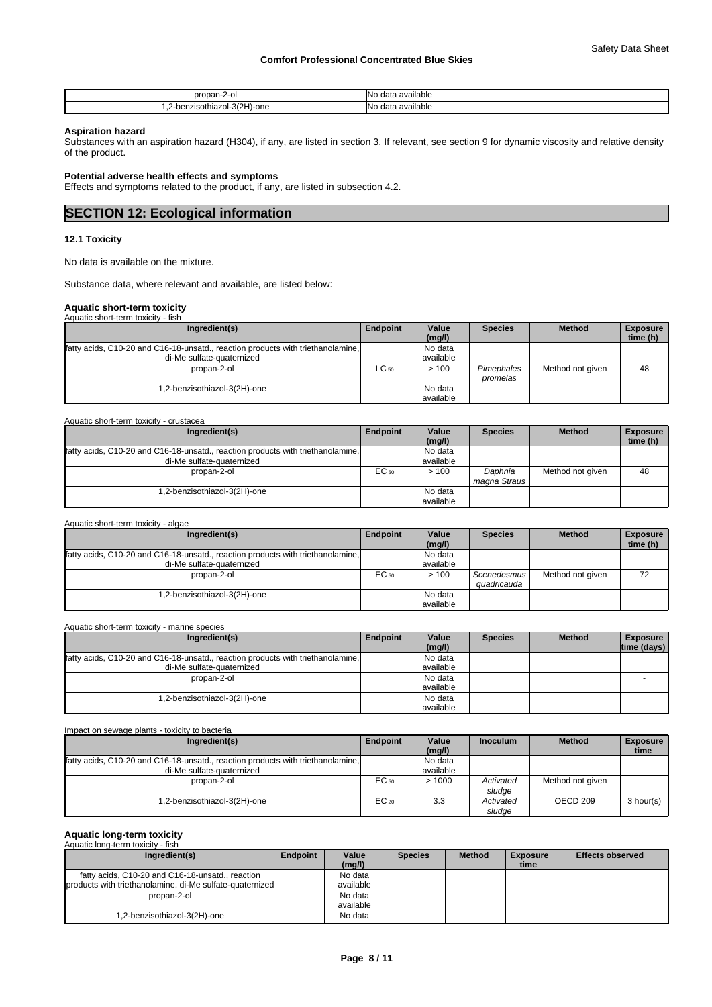| nronan-.<br>$\overline{\phantom{a}}$<br>$\mathbf{u}$            | <b>INo</b><br>available<br>data          |
|-----------------------------------------------------------------|------------------------------------------|
| 1zol-3(2H)<br>-one<br>$n \cdot n$<br>≧enzisothiazu<br>. .<br>__ | <b>INo</b><br>available<br>$A - 1$<br>мь |

## **Aspiration hazard**

Substances with an aspiration hazard (H304), if any, are listed in section 3. If relevant, see section 9 for dynamic viscosity and relative density of the product.

# **Potential adverse health effects and symptoms**

Effects and symptoms related to the product, if any, are listed in subsection 4.2.

# **SECTION 12: Ecological information**

# **12.1 Toxicity**

No data is available on the mixture.

Substance data, where relevant and available, are listed below:

# **Aquatic short-term toxicity**

Aquatic short-term toxicity - algae

| Aquatic short-term toxicity - fish                                              |           |                 |                |                  |                             |
|---------------------------------------------------------------------------------|-----------|-----------------|----------------|------------------|-----------------------------|
| Ingredient(s)                                                                   | Endpoint  | Value<br>(mg/l) | <b>Species</b> | <b>Method</b>    | <b>Exposure</b><br>time (h) |
| fatty acids, C10-20 and C16-18-unsatd., reaction products with triethanolamine, |           | No data         |                |                  |                             |
| di-Me sulfate-quaternized                                                       |           | available       |                |                  |                             |
| propan-2-ol                                                                     | $LC_{50}$ | >100            | Pimephales     | Method not given | 48                          |
|                                                                                 |           |                 | promelas       |                  |                             |
| 1,2-benzisothiazol-3(2H)-one                                                    |           | No data         |                |                  |                             |
|                                                                                 |           | available       |                |                  |                             |

| Aquatic short-term toxicity - crustacea                                         |           |                 |                |                  |                             |
|---------------------------------------------------------------------------------|-----------|-----------------|----------------|------------------|-----------------------------|
| Ingredient(s)                                                                   | Endpoint  | Value<br>(mg/l) | <b>Species</b> | <b>Method</b>    | <b>Exposure</b><br>time (h) |
| fatty acids, C10-20 and C16-18-unsatd., reaction products with triethanolamine, |           | No data         |                |                  |                             |
| di-Me sulfate-quaternized                                                       |           | available       |                |                  |                             |
| propan-2-ol                                                                     | $EC_{50}$ | >100            | Daphnia        | Method not given | 48                          |
|                                                                                 |           |                 | magna Straus   |                  |                             |
| .2-benzisothiazol-3(2H)-one                                                     |           | No data         |                |                  |                             |
|                                                                                 |           | available       |                |                  |                             |

| <b>Aguatic SHOLEGHT WAIGHY</b><br>- aluac                                       |          |           |                |                  |                 |
|---------------------------------------------------------------------------------|----------|-----------|----------------|------------------|-----------------|
| Ingredient(s)                                                                   | Endpoint | Value     | <b>Species</b> | <b>Method</b>    | <b>Exposure</b> |
|                                                                                 |          | (mq/l)    |                |                  | time (h)        |
| fatty acids, C10-20 and C16-18-unsatd., reaction products with triethanolamine. |          | No data   |                |                  |                 |
| di-Me sulfate-quaternized                                                       |          | available |                |                  |                 |
| propan-2-ol                                                                     | EC 50    | >100      | Scenedesmus    | Method not given | 72              |
|                                                                                 |          |           | auadricauda    |                  |                 |
| .2-benzisothiazol-3(2H)-one                                                     |          | No data   |                |                  |                 |
|                                                                                 |          | available |                |                  |                 |

| Ingredient(s)                                                                   | Endpoint | Value     | <b>Species</b> | <b>Method</b> | <b>Exposure</b> |
|---------------------------------------------------------------------------------|----------|-----------|----------------|---------------|-----------------|
|                                                                                 |          | (mg/l)    |                |               | time (days)     |
| fatty acids, C10-20 and C16-18-unsatd., reaction products with triethanolamine, |          | No data   |                |               |                 |
| di-Me sulfate-quaternized                                                       |          | available |                |               |                 |
| propan-2-ol                                                                     |          | No data   |                |               |                 |
|                                                                                 |          | available |                |               |                 |
| 1,2-benzisothiazol-3(2H)-one                                                    |          | No data   |                |               |                 |
|                                                                                 |          | available |                |               |                 |

| Impact on sewage plants - toxicity to bacteria                                                               |           |                      |                     |                     |                         |  |  |  |
|--------------------------------------------------------------------------------------------------------------|-----------|----------------------|---------------------|---------------------|-------------------------|--|--|--|
| Ingredient(s)                                                                                                | Endpoint  | Value<br>(mg/l)      | <b>Inoculum</b>     | <b>Method</b>       | <b>Exposure</b><br>time |  |  |  |
| fatty acids, C10-20 and C16-18-unsatd., reaction products with triethanolamine,<br>di-Me sulfate-quaternized |           | No data<br>available |                     |                     |                         |  |  |  |
| propan-2-ol                                                                                                  | EC 50     | >1000                | Activated<br>sludae | Method not given    |                         |  |  |  |
| 1,2-benzisothiazol-3(2H)-one                                                                                 | $EC_{20}$ | 3.3                  | Activated<br>sludge | OECD <sub>209</sub> | 3 hour(s)               |  |  |  |

# **Aquatic long-term toxicity**

Aquatic long-term toxicity - fish

| Ingredient(s)                                            | Endpoint | Value     | <b>Species</b> | <b>Method</b> | <b>Exposure</b> | <b>Effects observed</b> |
|----------------------------------------------------------|----------|-----------|----------------|---------------|-----------------|-------------------------|
|                                                          |          | (mg/l)    |                |               | time            |                         |
| fatty acids, C10-20 and C16-18-unsatd., reaction         |          | No data   |                |               |                 |                         |
| products with triethanolamine, di-Me sulfate-quaternized |          | available |                |               |                 |                         |
| propan-2-ol                                              |          | No data   |                |               |                 |                         |
|                                                          |          | available |                |               |                 |                         |
| -2-benzisothiazol-3(2H)-one                              |          | No data   |                |               |                 |                         |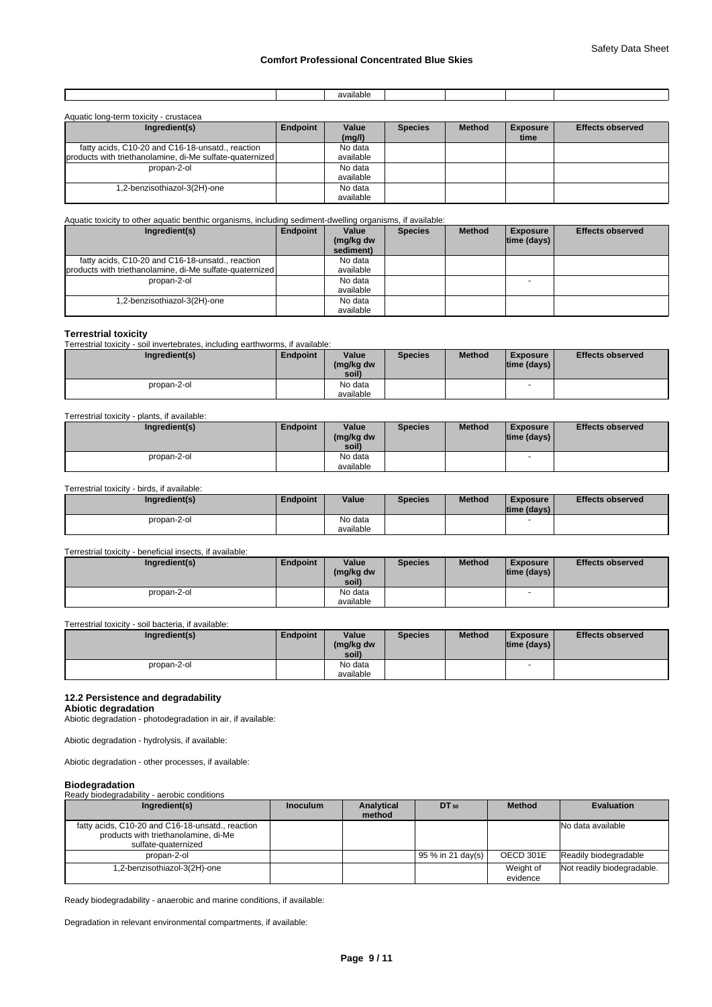|  | available.<br>. |  |  |
|--|-----------------|--|--|
|  |                 |  |  |

| Aquatic long-term toxicity - crustacea                   |          |                 |                |               |                         |                         |
|----------------------------------------------------------|----------|-----------------|----------------|---------------|-------------------------|-------------------------|
| Ingredient(s)                                            | Endpoint | Value<br>(mg/l) | <b>Species</b> | <b>Method</b> | <b>Exposure</b><br>time | <b>Effects observed</b> |
| fatty acids, C10-20 and C16-18-unsatd., reaction         |          | No data         |                |               |                         |                         |
| products with triethanolamine, di-Me sulfate-quaternized |          | available       |                |               |                         |                         |
| propan-2-ol                                              |          | No data         |                |               |                         |                         |
|                                                          |          | available       |                |               |                         |                         |
| 1,2-benzisothiazol-3(2H)-one                             |          | No data         |                |               |                         |                         |
|                                                          |          | available       |                |               |                         |                         |

# Aquatic toxicity to other aquatic benthic organisms, including sediment-dwelling organisms, if available:

| Ingredient(s)                                                                                                | Endpoint | Value<br>(mg/kg dw<br>sediment) | <b>Species</b> | <b>Method</b> | <b>Exposure</b><br> time (days) | <b>Effects observed</b> |
|--------------------------------------------------------------------------------------------------------------|----------|---------------------------------|----------------|---------------|---------------------------------|-------------------------|
| fatty acids, C10-20 and C16-18-unsatd., reaction<br>products with triethanolamine, di-Me sulfate-quaternized |          | No data<br>available            |                |               |                                 |                         |
| propan-2-ol                                                                                                  |          | No data<br>available            |                |               |                                 |                         |
| 1,2-benzisothiazol-3(2H)-one                                                                                 |          | No data<br>available            |                |               |                                 |                         |

# **Terrestrial toxicity**

Terrestrial toxicity - soil invertebrates, including earthworms, if available:

| Ingredient(s) | Endpoint | Value<br>(mg/kg dw<br>soil) | <b>Species</b> | <b>Method</b> | <b>Exposure</b><br>$ time$ (days) $ $ | <b>Effects observed</b> |
|---------------|----------|-----------------------------|----------------|---------------|---------------------------------------|-------------------------|
| propan-2-ol   |          | No data<br>available        |                |               | $\overline{\phantom{a}}$              |                         |

# Terrestrial toxicity - plants, if available:

| Ingredient(s) | Endpoint | Value<br>(mg/kg dw<br>soil) | <b>Species</b> | <b>Method</b> | <b>Exposure</b><br>$ time$ (days) $ $ | <b>Effects observed</b> |
|---------------|----------|-----------------------------|----------------|---------------|---------------------------------------|-------------------------|
| propan-2-ol   |          | No data                     |                |               | -                                     |                         |
|               |          | available                   |                |               |                                       |                         |

#### Terrestrial toxicity - birds, if available:

| Ingredient(s) | <b>Endpoint</b> | Value                | <b>Species</b> | <b>Method</b> | <b>Exposure</b><br> time (days) | <b>Effects observed</b> |
|---------------|-----------------|----------------------|----------------|---------------|---------------------------------|-------------------------|
| propan-2-ol   |                 | No data<br>available |                |               | -                               |                         |

# Terrestrial toxicity - beneficial insects, if available:

| Ingredient(s) | <b>Endpoint</b> | Value<br>(mg/kg dw<br>soil) | <b>Species</b> | <b>Method</b> | <b>Exposure</b><br>$ time$ (days) $ $ | <b>Effects observed</b> |
|---------------|-----------------|-----------------------------|----------------|---------------|---------------------------------------|-------------------------|
| propan-2-ol   |                 | No data                     |                |               | <b>1</b>                              |                         |
|               |                 | available                   |                |               |                                       |                         |

Terrestrial toxicity - soil bacteria, if available:

| Ingredient(s) | <b>Endpoint</b> | Value<br>(mg/kg dw<br>soil) | <b>Species</b> | <b>Method</b> | <b>Exposure</b><br>$ time$ (days) $ $ | <b>Effects observed</b> |
|---------------|-----------------|-----------------------------|----------------|---------------|---------------------------------------|-------------------------|
| propan-2-ol   |                 | No data<br>available        |                |               |                                       |                         |

# **12.2 Persistence and degradability**

**Abiotic degradation** Abiotic degradation - photodegradation in air, if available:

Abiotic degradation - hydrolysis, if available:

Abiotic degradation - other processes, if available:

# **Biodegradation**

| <b>PIOUGYLQUALIOII</b>                           |                 |            |                   |               |                            |
|--------------------------------------------------|-----------------|------------|-------------------|---------------|----------------------------|
| Ready biodegradability - aerobic conditions      |                 |            |                   |               |                            |
| Ingredient(s)                                    | <b>Inoculum</b> | Analytical | $DT_{50}$         | <b>Method</b> | <b>Evaluation</b>          |
|                                                  |                 | method     |                   |               |                            |
| fatty acids, C10-20 and C16-18-unsatd., reaction |                 |            |                   |               | No data available          |
| products with triethanolamine, di-Me             |                 |            |                   |               |                            |
| sulfate-quaternized                              |                 |            |                   |               |                            |
| propan-2-ol                                      |                 |            | 95 % in 21 day(s) | OECD 301E     | Readily biodegradable      |
| 1,2-benzisothiazol-3(2H)-one                     |                 |            |                   | Weight of     | Not readily biodegradable. |
|                                                  |                 |            |                   | evidence      |                            |

Ready biodegradability - anaerobic and marine conditions, if available:

Degradation in relevant environmental compartments, if available: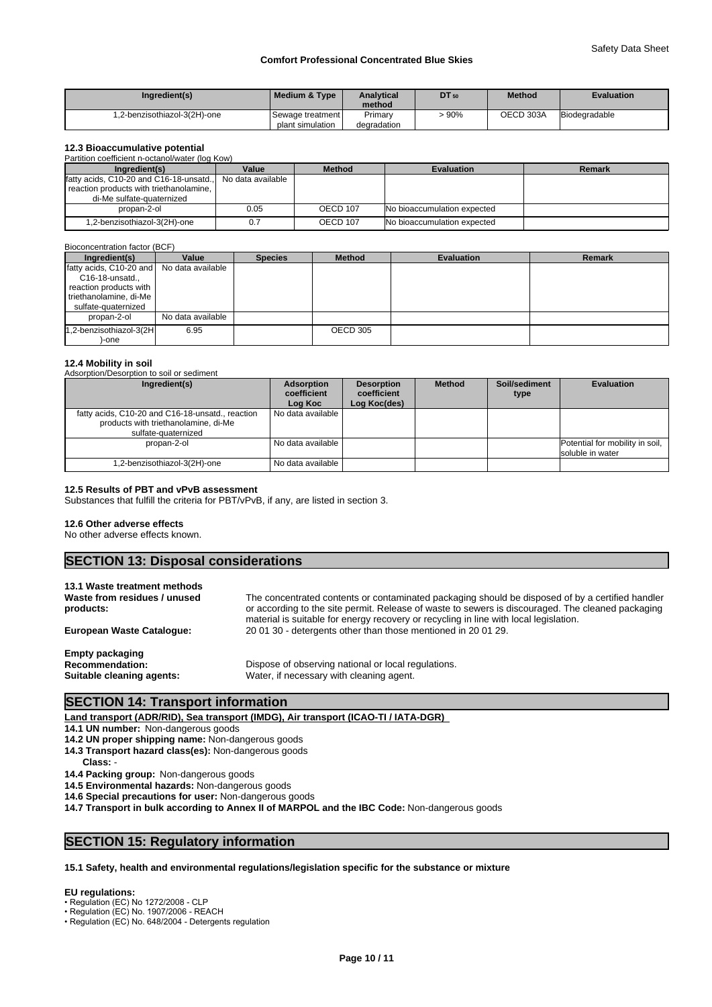| Ingredient(s)                | l Medium & Tvpe  | <b>Analytical</b><br>method | <b>DT</b> 50 | <b>Method</b> | <b>Evaluation</b> |
|------------------------------|------------------|-----------------------------|--------------|---------------|-------------------|
| 1.2-benzisothiazol-3(2H)-one | Sewage treatment | Primarv                     | 90%          | OECD 303A     | Biodegradable     |
|                              | plant simulation | degradation                 |              |               |                   |

# **12.3 Bioaccumulative potential**

| Partition coefficient n-octanol/water (log Kow) |                   |               |                             |        |  |  |
|-------------------------------------------------|-------------------|---------------|-----------------------------|--------|--|--|
| Ingredient(s)                                   | Value             | <b>Method</b> | <b>Evaluation</b>           | Remark |  |  |
| fatty acids, C10-20 and C16-18-unsatd.,         | No data available |               |                             |        |  |  |
| reaction products with triethanolamine,         |                   |               |                             |        |  |  |
| di-Me sulfate-quaternized                       |                   |               |                             |        |  |  |
| propan-2-ol                                     | 0.05              | OECD 107      | No bioaccumulation expected |        |  |  |
| 1,2-benzisothiazol-3(2H)-one                    | 0.7               | OECD 107      | No bioaccumulation expected |        |  |  |

# Bioconcentration factor (BCF)

| Ingredient(s)                                                                                                                           | Value             | <b>Species</b> | <b>Method</b> | <b>Evaluation</b> | <b>Remark</b> |
|-----------------------------------------------------------------------------------------------------------------------------------------|-------------------|----------------|---------------|-------------------|---------------|
| fatty acids, C10-20 and No data available<br>C16-18-unsatd.,<br>reaction products with<br>triethanolamine, di-Me<br>sulfate-quaternized |                   |                |               |                   |               |
| propan-2-ol                                                                                                                             | No data available |                |               |                   |               |
| 1,2-benzisothiazol-3(2H<br>-one                                                                                                         | 6.95              |                | OECD 305      |                   |               |

# **12.4 Mobility in soil**

Adsorption/Desorption to soil or sediment

| Ingredient(s)                                                                                                   | Adsorption<br>coefficient<br>Log Koc | <b>Desorption</b><br>coefficient<br>Log Koc(des) | <b>Method</b> | Soil/sediment<br>type | <b>Evaluation</b>                                   |
|-----------------------------------------------------------------------------------------------------------------|--------------------------------------|--------------------------------------------------|---------------|-----------------------|-----------------------------------------------------|
| fatty acids, C10-20 and C16-18-unsatd., reaction<br>products with triethanolamine, di-Me<br>sulfate-quaternized | No data available                    |                                                  |               |                       |                                                     |
| propan-2-ol                                                                                                     | No data available                    |                                                  |               |                       | Potential for mobility in soil,<br>soluble in water |
| 1,2-benzisothiazol-3(2H)-one                                                                                    | No data available                    |                                                  |               |                       |                                                     |

# **12.5 Results of PBT and vPvB assessment**

Substances that fulfill the criteria for PBT/vPvB, if any, are listed in section 3.

# **12.6 Other adverse effects**

No other adverse effects known.

# **SECTION 13: Disposal considerations**

| 13.1 Waste treatment methods<br>Waste from residues / unused<br>products:     | The concentrated contents or contaminated packaging should be disposed of by a certified handler<br>or according to the site permit. Release of waste to sewers is discouraged. The cleaned packaging<br>material is suitable for energy recovery or recycling in line with local legislation. |
|-------------------------------------------------------------------------------|------------------------------------------------------------------------------------------------------------------------------------------------------------------------------------------------------------------------------------------------------------------------------------------------|
| <b>European Waste Cataloque:</b>                                              | 20 01 30 - detergents other than those mentioned in 20 01 29.                                                                                                                                                                                                                                  |
| <b>Empty packaging</b><br><b>Recommendation:</b><br>Suitable cleaning agents: | Dispose of observing national or local regulations.<br>Water, if necessary with cleaning agent.                                                                                                                                                                                                |

# **SECTION 14: Transport information**

**Land transport (ADR/RID), Sea transport (IMDG), Air transport (ICAO-TI / IATA-DGR)** 

**14.1 UN number:** Non-dangerous goods

- **14.2 UN proper shipping name:** Non-dangerous goods
- **14.3 Transport hazard class(es):** Non-dangerous goods
- **Class:** -
- **14.4 Packing group:** Non-dangerous goods
- **14.5 Environmental hazards:** Non-dangerous goods
- **14.6 Special precautions for user:** Non-dangerous goods
- **14.7 Transport in bulk according to Annex II of MARPOL and the IBC Code:** Non-dangerous goods

# **SECTION 15: Regulatory information**

# **15.1 Safety, health and environmental regulations/legislation specific for the substance or mixture**

# **EU regulations:**

- Regulation (EC) No 1272/2008 CLP
- Regulation (EC) No. 1907/2006 REACH
- Regulation (EC) No. 648/2004 Detergents regulation